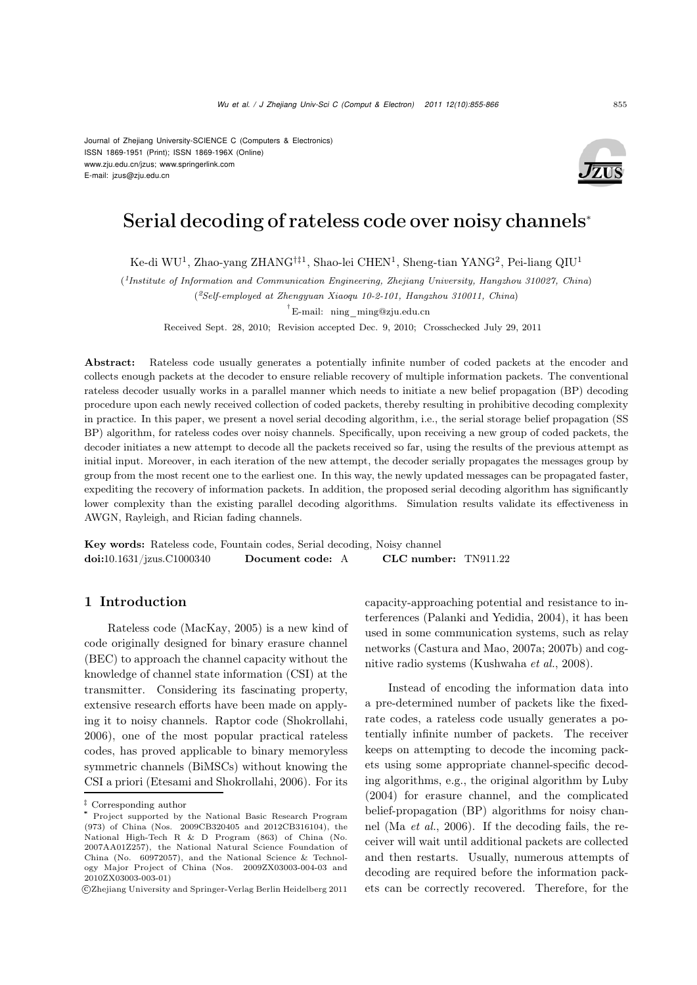Journal of Zhejiang University-SCIENCE C (Computers & Electronics) ISSN 1869-1951 (Print); ISSN 1869-196X (Online) www.zju.edu.cn/jzus; www.springerlink.com E-mail: jzus@zju.edu.cn



# Serial decoding of rateless code over noisy channels<sup>∗</sup>

Ke-di WU<sup>1</sup>, Zhao-yang ZHANG<sup>†‡1</sup>, Shao-lei CHEN<sup>1</sup>, Sheng-tian YANG<sup>2</sup>, Pei-liang QIU<sup>1</sup>

(*1Institute of Information and Communication Engineering, Zhejiang University, Hangzhou 310027, China*)

(*2Self-employed at Zhengyuan Xiaoqu 10-2-101, Hangzhou 310011, China*)

† E-mail: ning\_ming@zju.edu.cn

Received Sept. 28, 2010; Revision accepted Dec. 9, 2010; Crosschecked July 29, 2011

Abstract: Rateless code usually generates a potentially infinite number of coded packets at the encoder and collects enough packets at the decoder to ensure reliable recovery of multiple information packets. The conventional rateless decoder usually works in a parallel manner which needs to initiate a new belief propagation (BP) decoding procedure upon each newly received collection of coded packets, thereby resulting in prohibitive decoding complexity in practice. In this paper, we present a novel serial decoding algorithm, i.e., the serial storage belief propagation (SS BP) algorithm, for rateless codes over noisy channels. Specifically, upon receiving a new group of coded packets, the decoder initiates a new attempt to decode all the packets received so far, using the results of the previous attempt as initial input. Moreover, in each iteration of the new attempt, the decoder serially propagates the messages group by group from the most recent one to the earliest one. In this way, the newly updated messages can be propagated faster, expediting the recovery of information packets. In addition, the proposed serial decoding algorithm has significantly lower complexity than the existing parallel decoding algorithms. Simulation results validate its effectiveness in AWGN, Rayleigh, and Rician fading channels.

Key words: Rateless code, Fountain codes, Serial decoding, Noisy channel doi:10.1631/jzus.C1000340 Document code: A CLC number: TN911.22

# 1 Introduction

Rateless code (MacKay, 2005) is a new kind of code originally designed for binary erasure channel (BEC) to approach the channel capacity without the knowledge of channel state information (CSI) at the transmitter. Considering its fascinating property, extensive research efforts have been made on applying it to noisy channels. Raptor code (Shokrollahi, 2006), one of the most popular practical rateless codes, has proved applicable to binary memoryless symmetric channels (BiMSCs) without knowing the CSI a priori (Etesami and Shokrollahi, 2006). For its

capacity-approaching potential and resistance to interferences (Palanki and Yedidia, 2004), it has been used in some communication systems, such as relay networks (Castura and Mao, 2007a; 2007b) and cognitive radio systems (Kushwaha *et al.*, 2008).

Instead of encoding the information data into a pre-determined number of packets like the fixedrate codes, a rateless code usually generates a potentially infinite number of packets. The receiver keeps on attempting to decode the incoming packets using some appropriate channel-specific decoding algorithms, e.g., the original algorithm by Luby (2004) for erasure channel, and the complicated belief-propagation (BP) algorithms for noisy channel (Ma *et al.*, 2006). If the decoding fails, the receiver will wait until additional packets are collected and then restarts. Usually, numerous attempts of decoding are required before the information packets can be correctly recovered. Therefore, for the

*<sup>‡</sup>* Corresponding author \*

Project supported by the National Basic Research Program (973) of China (Nos. 2009CB320405 and 2012CB316104), the National High-Tech R & D Program (863) of China (No. 2007AA01Z257), the National Natural Science Foundation of China (No. 60972057), and the National Science & Technology Major Project of China (Nos. 2009ZX03003-004-03 and 2010ZX03003-003-01)

c Zhejiang University and Springer-Verlag Berlin Heidelberg 2011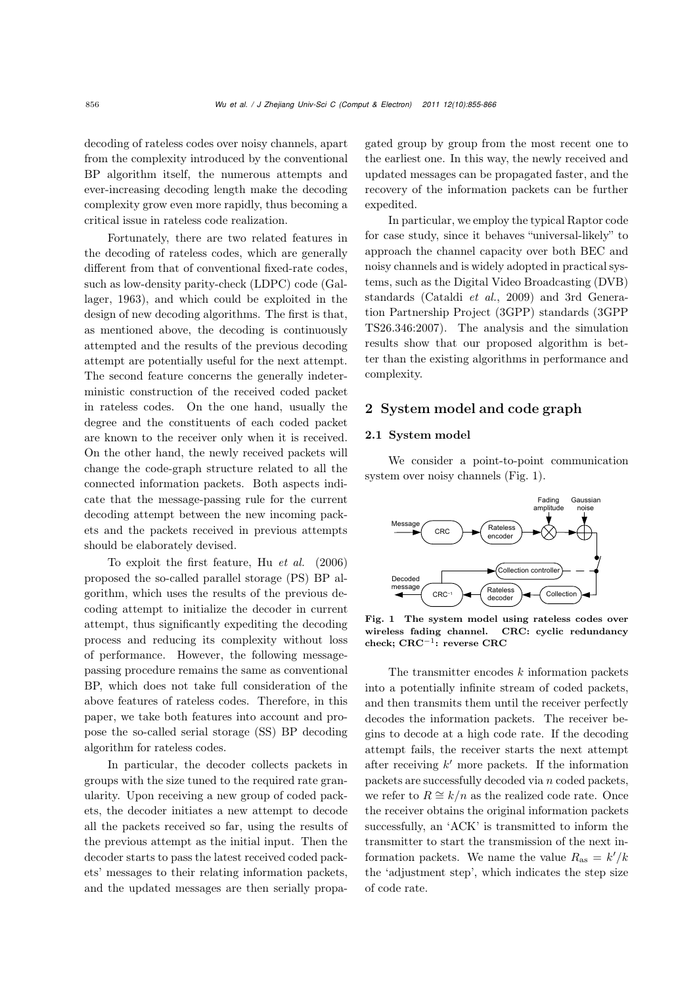decoding of rateless codes over noisy channels, apart from the complexity introduced by the conventional BP algorithm itself, the numerous attempts and ever-increasing decoding length make the decoding complexity grow even more rapidly, thus becoming a critical issue in rateless code realization.

Fortunately, there are two related features in the decoding of rateless codes, which are generally different from that of conventional fixed-rate codes, such as low-density parity-check (LDPC) code (Gallager, 1963), and which could be exploited in the design of new decoding algorithms. The first is that, as mentioned above, the decoding is continuously attempted and the results of the previous decoding attempt are potentially useful for the next attempt. The second feature concerns the generally indeterministic construction of the received coded packet in rateless codes. On the one hand, usually the degree and the constituents of each coded packet are known to the receiver only when it is received. On the other hand, the newly received packets will change the code-graph structure related to all the connected information packets. Both aspects indicate that the message-passing rule for the current decoding attempt between the new incoming packets and the packets received in previous attempts should be elaborately devised.

To exploit the first feature, Hu *et al.* (2006) proposed the so-called parallel storage (PS) BP algorithm, which uses the results of the previous decoding attempt to initialize the decoder in current attempt, thus significantly expediting the decoding process and reducing its complexity without loss of performance. However, the following messagepassing procedure remains the same as conventional BP, which does not take full consideration of the above features of rateless codes. Therefore, in this paper, we take both features into account and propose the so-called serial storage (SS) BP decoding algorithm for rateless codes.

In particular, the decoder collects packets in groups with the size tuned to the required rate granularity. Upon receiving a new group of coded packets, the decoder initiates a new attempt to decode all the packets received so far, using the results of the previous attempt as the initial input. Then the decoder starts to pass the latest received coded packets' messages to their relating information packets, and the updated messages are then serially propa-

gated group by group from the most recent one to the earliest one. In this way, the newly received and updated messages can be propagated faster, and the recovery of the information packets can be further expedited.

In particular, we employ the typical Raptor code for case study, since it behaves "universal-likely" to approach the channel capacity over both BEC and noisy channels and is widely adopted in practical systems, such as the Digital Video Broadcasting (DVB) standards (Cataldi *et al.*, 2009) and 3rd Generation Partnership Project (3GPP) standards (3GPP TS26.346:2007). The analysis and the simulation results show that our proposed algorithm is better than the existing algorithms in performance and complexity.

### 2 System model and code graph

### 2.1 System model

We consider a point-to-point communication system over noisy channels (Fig. 1).



Fig. 1 The system model using rateless codes over wireless fading channel. CRC: cyclic redundancy check; CRC*−*1: reverse CRC

The transmitter encodes  $k$  information packets into a potentially infinite stream of coded packets, and then transmits them until the receiver perfectly decodes the information packets. The receiver begins to decode at a high code rate. If the decoding attempt fails, the receiver starts the next attempt after receiving  $k'$  more packets. If the information packets are successfully decoded via n coded packets, we refer to  $R \cong k/n$  as the realized code rate. Once the receiver obtains the original information packets successfully, an 'ACK' is transmitted to inform the transmitter to start the transmission of the next information packets. We name the value  $R_{\rm as} = k'/k$ the 'adjustment step', which indicates the step size of code rate.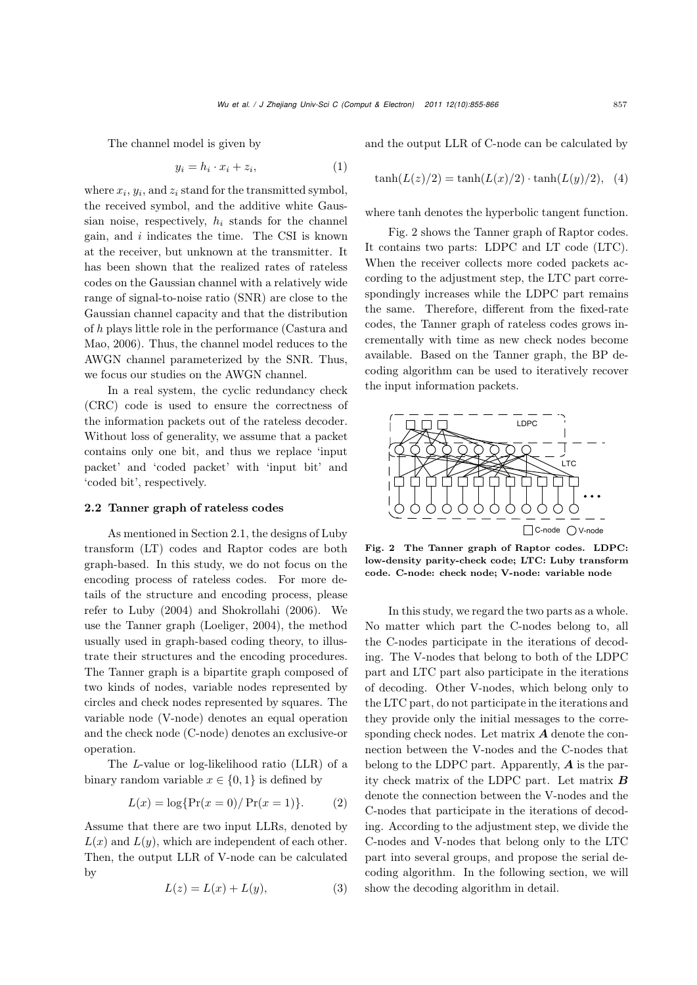The channel model is given by

$$
y_i = h_i \cdot x_i + z_i,\tag{1}
$$

where  $x_i$ ,  $y_i$ , and  $z_i$  stand for the transmitted symbol, the received symbol, and the additive white Gaussian noise, respectively,  $h_i$  stands for the channel gain, and  $i$  indicates the time. The CSI is known at the receiver, but unknown at the transmitter. It has been shown that the realized rates of rateless codes on the Gaussian channel with a relatively wide range of signal-to-noise ratio (SNR) are close to the Gaussian channel capacity and that the distribution of h plays little role in the performance (Castura and Mao, 2006). Thus, the channel model reduces to the AWGN channel parameterized by the SNR. Thus, we focus our studies on the AWGN channel.

In a real system, the cyclic redundancy check (CRC) code is used to ensure the correctness of the information packets out of the rateless decoder. Without loss of generality, we assume that a packet contains only one bit, and thus we replace 'input packet' and 'coded packet' with 'input bit' and 'coded bit', respectively.

### 2.2 Tanner graph of rateless codes

As mentioned in Section 2.1, the designs of Luby transform (LT) codes and Raptor codes are both graph-based. In this study, we do not focus on the encoding process of rateless codes. For more details of the structure and encoding process, please refer to Luby (2004) and Shokrollahi (2006). We use the Tanner graph (Loeliger, 2004), the method usually used in graph-based coding theory, to illustrate their structures and the encoding procedures. The Tanner graph is a bipartite graph composed of two kinds of nodes, variable nodes represented by circles and check nodes represented by squares. The variable node (V-node) denotes an equal operation and the check node (C-node) denotes an exclusive-or operation.

The *L*-value or log-likelihood ratio (LLR) of a binary random variable  $x \in \{0, 1\}$  is defined by

$$
L(x) = \log\{\Pr(x=0) / \Pr(x=1)\}.
$$
 (2)

Assume that there are two input LLRs, denoted by  $L(x)$  and  $L(y)$ , which are independent of each other. Then, the output LLR of V-node can be calculated by

$$
L(z) = L(x) + L(y),\tag{3}
$$

and the output LLR of C-node can be calculated by

$$
\tanh(L(z)/2) = \tanh(L(x)/2) \cdot \tanh(L(y)/2), \quad (4)
$$

where tanh denotes the hyperbolic tangent function.

Fig. 2 shows the Tanner graph of Raptor codes. It contains two parts: LDPC and LT code (LTC). When the receiver collects more coded packets according to the adjustment step, the LTC part correspondingly increases while the LDPC part remains the same. Therefore, different from the fixed-rate codes, the Tanner graph of rateless codes grows incrementally with time as new check nodes become available. Based on the Tanner graph, the BP decoding algorithm can be used to iteratively recover the input information packets.



Fig. 2 The Tanner graph of Raptor codes. LDPC: low-density parity-check code; LTC: Luby transform code. C-node: check node; V-node: variable node

In this study, we regard the two parts as a whole. No matter which part the C-nodes belong to, all the C-nodes participate in the iterations of decoding. The V-nodes that belong to both of the LDPC part and LTC part also participate in the iterations of decoding. Other V-nodes, which belong only to the LTC part, do not participate in the iterations and they provide only the initial messages to the corresponding check nodes. Let matrix *A* denote the connection between the V-nodes and the C-nodes that belong to the LDPC part. Apparently, *A* is the parity check matrix of the LDPC part. Let matrix *B* denote the connection between the V-nodes and the C-nodes that participate in the iterations of decoding. According to the adjustment step, we divide the C-nodes and V-nodes that belong only to the LTC part into several groups, and propose the serial decoding algorithm. In the following section, we will show the decoding algorithm in detail.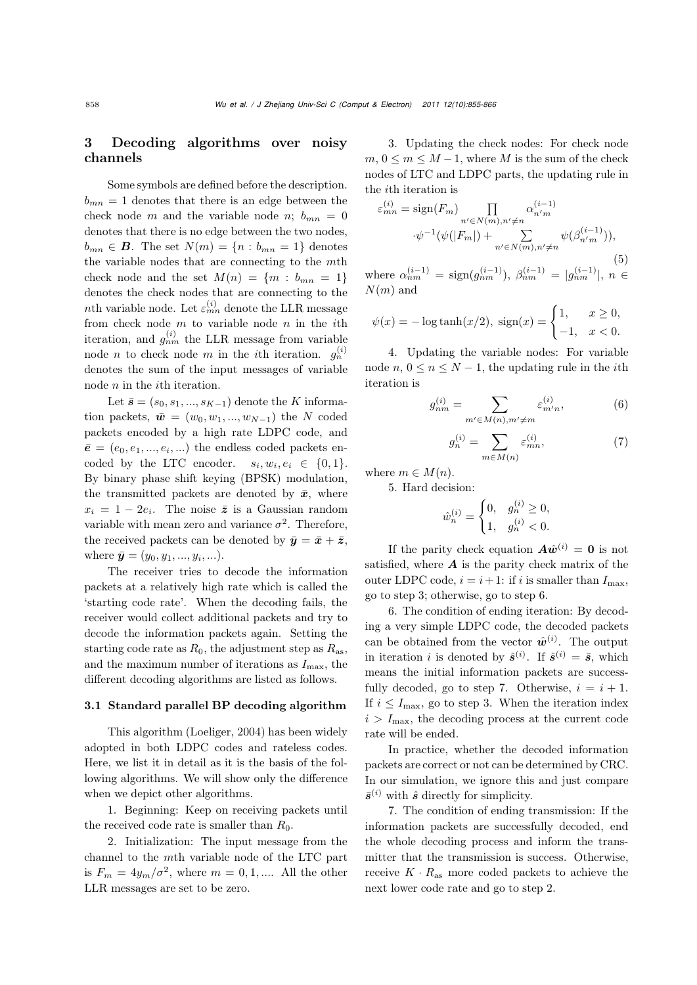## 3 Decoding algorithms over noisy channels

Some symbols are defined before the description.  $b_{mn} = 1$  denotes that there is an edge between the check node m and the variable node n;  $b_{mn} = 0$ denotes that there is no edge between the two nodes,  $b_{mn} \in \mathbf{B}$ . The set  $N(m) = \{n : b_{mn} = 1\}$  denotes the variable nodes that are connecting to the mth check node and the set  $M(n) = \{m : b_{mn} = 1\}$ denotes the check nodes that are connecting to the nth variable node. Let  $\varepsilon_{mn}^{(i)}$  denote the LLR message from check node  $m$  to variable node  $n$  in the *i*th iteration, and  $g_{nm}^{(i)}$  the LLR message from variable node *n* to check node *m* in the *i*th iteration.  $g_n^{(i)}$ denotes the sum of the input messages of variable node  $n$  in the *i*<sup>th</sup> iteration.

Let  $\bar{s} = (s_0, s_1, ..., s_{K-1})$  denote the K information packets,  $\bar{\mathbf{w}} = (w_0, w_1, ..., w_{N-1})$  the N coded packets encoded by a high rate LDPC code, and  $\bar{\mathbf{e}} = (e_0, e_1, \ldots, e_i, \ldots)$  the endless coded packets encoded by the LTC encoder.  $s_i, w_i, e_i \in \{0, 1\}.$ By binary phase shift keying (BPSK) modulation, the transmitted packets are denoted by  $\bar{x}$ , where  $x_i = 1 - 2e_i$ . The noise  $\bar{z}$  is a Gaussian random variable with mean zero and variance  $\sigma^2$ . Therefore, the received packets can be denoted by  $\bar{y} = \bar{x} + \bar{z}$ , where  $\bar{y} = (y_0, y_1, ..., y_i, ...)$ .

The receiver tries to decode the information packets at a relatively high rate which is called the 'starting code rate'. When the decoding fails, the receiver would collect additional packets and try to decode the information packets again. Setting the starting code rate as  $R_0$ , the adjustment step as  $R_{as}$ , and the maximum number of iterations as  $I_{\text{max}}$ , the different decoding algorithms are listed as follows.

### 3.1 Standard parallel BP decoding algorithm

This algorithm (Loeliger, 2004) has been widely adopted in both LDPC codes and rateless codes. Here, we list it in detail as it is the basis of the following algorithms. We will show only the difference when we depict other algorithms.

1. Beginning: Keep on receiving packets until the received code rate is smaller than  $R_0$ .

2. Initialization: The input message from the channel to the mth variable node of the LTC part is  $F_m = 4y_m/\sigma^2$ , where  $m = 0, 1, \dots$  All the other LLR messages are set to be zero.

3. Updating the check nodes: For check node  $m, 0 \leq m \leq M-1$ , where M is the sum of the check nodes of LTC and LDPC parts, the updating rule in the ith iteration is

$$
\varepsilon_{mn}^{(i)} = \operatorname{sign}(F_m) \prod_{\substack{n' \in N(m), n' \neq n}} \alpha_{n'm}^{(i-1)}
$$

$$
\cdot \psi^{-1}(\psi(|F_m|) + \sum_{\substack{n' \in N(m), n' \neq n}} \psi(\beta_{n'm}^{(i-1)})),
$$
(5)

where  $\alpha_{nm}^{(i-1)} = \text{sign}(g_{nm}^{(i-1)}), \ \beta_{nm}^{(i-1)} = |g_{nm}^{(i-1)}|, \ n \in$  $N(m)$  and

$$
\psi(x) = -\log \tanh(x/2), \text{ sign}(x) = \begin{cases} 1, & x \ge 0, \\ -1, & x < 0. \end{cases}
$$

4. Updating the variable nodes: For variable node  $n, 0 \leq n \leq N-1$ , the updating rule in the *i*th iteration is

$$
g_{nm}^{(i)} = \sum_{m' \in M(n), m' \neq m} \varepsilon_{m'n}^{(i)},\tag{6}
$$

$$
g_n^{(i)} = \sum_{m \in M(n)} \varepsilon_{mn}^{(i)},\tag{7}
$$

where  $m \in M(n)$ .

5. Hard decision:

$$
\hat{w}_n^{(i)} = \begin{cases} 0, & g_n^{(i)} \ge 0, \\ 1, & g_n^{(i)} < 0. \end{cases}
$$

If the parity check equation  $\mathbf{A}\hat{\mathbf{w}}^{(i)} = \mathbf{0}$  is not satisfied, where  $\boldsymbol{A}$  is the parity check matrix of the outer LDPC code,  $i = i + 1$ : if i is smaller than  $I_{\text{max}}$ , go to step 3; otherwise, go to step 6.

6. The condition of ending iteration: By decoding a very simple LDPC code, the decoded packets can be obtained from the vector  $\hat{w}^{(i)}$ . The output in iteration i is denoted by  $\hat{\mathbf{s}}^{(i)}$ . If  $\hat{\mathbf{s}}^{(i)} = \bar{\mathbf{s}}$ , which means the initial information packets are successfully decoded, go to step 7. Otherwise,  $i = i + 1$ . If  $i \leq I_{\text{max}}$ , go to step 3. When the iteration index  $i>I_{\text{max}}$ , the decoding process at the current code rate will be ended.

In practice, whether the decoded information packets are correct or not can be determined by CRC. In our simulation, we ignore this and just compare  $\bar{s}^{(i)}$  with  $\hat{s}$  directly for simplicity.

7. The condition of ending transmission: If the information packets are successfully decoded, end the whole decoding process and inform the transmitter that the transmission is success. Otherwise, receive  $K \cdot R_{\text{as}}$  more coded packets to achieve the next lower code rate and go to step 2.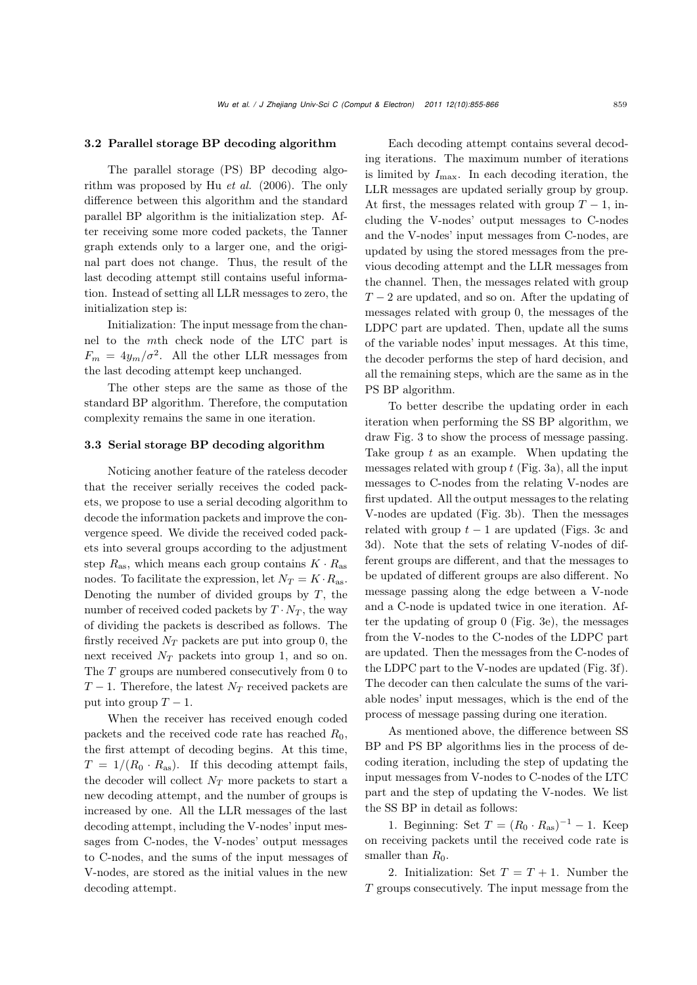### 3.2 Parallel storage BP decoding algorithm

The parallel storage (PS) BP decoding algorithm was proposed by Hu *et al.* (2006). The only difference between this algorithm and the standard parallel BP algorithm is the initialization step. After receiving some more coded packets, the Tanner graph extends only to a larger one, and the original part does not change. Thus, the result of the last decoding attempt still contains useful information. Instead of setting all LLR messages to zero, the initialization step is:

Initialization: The input message from the channel to the mth check node of the LTC part is  $F_m = 4y_m/\sigma^2$ . All the other LLR messages from the last decoding attempt keep unchanged.

The other steps are the same as those of the standard BP algorithm. Therefore, the computation complexity remains the same in one iteration.

### 3.3 Serial storage BP decoding algorithm

Noticing another feature of the rateless decoder that the receiver serially receives the coded packets, we propose to use a serial decoding algorithm to decode the information packets and improve the convergence speed. We divide the received coded packets into several groups according to the adjustment step  $R_{\rm as}$ , which means each group contains  $K \cdot R_{\rm as}$ nodes. To facilitate the expression, let  $N_T = K \cdot R_{\rm as}.$ Denoting the number of divided groups by  $T$ , the number of received coded packets by  $T \cdot N_T$ , the way of dividing the packets is described as follows. The firstly received  $N_T$  packets are put into group 0, the next received  $N_T$  packets into group 1, and so on. The T groups are numbered consecutively from 0 to  $T-1$ . Therefore, the latest  $N_T$  received packets are put into group  $T-1$ .

When the receiver has received enough coded packets and the received code rate has reached  $R_0$ , the first attempt of decoding begins. At this time,  $T = 1/(R_0 \cdot R_{\rm as})$ . If this decoding attempt fails, the decoder will collect  $N_T$  more packets to start a new decoding attempt, and the number of groups is increased by one. All the LLR messages of the last decoding attempt, including the V-nodes' input messages from C-nodes, the V-nodes' output messages to C-nodes, and the sums of the input messages of V-nodes, are stored as the initial values in the new decoding attempt.

Each decoding attempt contains several decoding iterations. The maximum number of iterations is limited by  $I_{\text{max}}$ . In each decoding iteration, the LLR messages are updated serially group by group. At first, the messages related with group  $T - 1$ , including the V-nodes' output messages to C-nodes and the V-nodes' input messages from C-nodes, are updated by using the stored messages from the previous decoding attempt and the LLR messages from the channel. Then, the messages related with group  $T-2$  are updated, and so on. After the updating of messages related with group 0, the messages of the LDPC part are updated. Then, update all the sums of the variable nodes' input messages. At this time, the decoder performs the step of hard decision, and all the remaining steps, which are the same as in the PS BP algorithm.

To better describe the updating order in each iteration when performing the SS BP algorithm, we draw Fig. 3 to show the process of message passing. Take group  $t$  as an example. When updating the messages related with group  $t$  (Fig. 3a), all the input messages to C-nodes from the relating V-nodes are first updated. All the output messages to the relating V-nodes are updated (Fig. 3b). Then the messages related with group  $t - 1$  are updated (Figs. 3c and 3d). Note that the sets of relating V-nodes of different groups are different, and that the messages to be updated of different groups are also different. No message passing along the edge between a V-node and a C-node is updated twice in one iteration. After the updating of group 0 (Fig. 3e), the messages from the V-nodes to the C-nodes of the LDPC part are updated. Then the messages from the C-nodes of the LDPC part to the V-nodes are updated (Fig. 3f). The decoder can then calculate the sums of the variable nodes' input messages, which is the end of the process of message passing during one iteration.

As mentioned above, the difference between SS BP and PS BP algorithms lies in the process of decoding iteration, including the step of updating the input messages from V-nodes to C-nodes of the LTC part and the step of updating the V-nodes. We list the SS BP in detail as follows:

1. Beginning: Set  $T = (R_0 \cdot R_{as})^{-1} - 1$ . Keep on receiving packets until the received code rate is smaller than  $R_0$ .

2. Initialization: Set  $T = T + 1$ . Number the T groups consecutively. The input message from the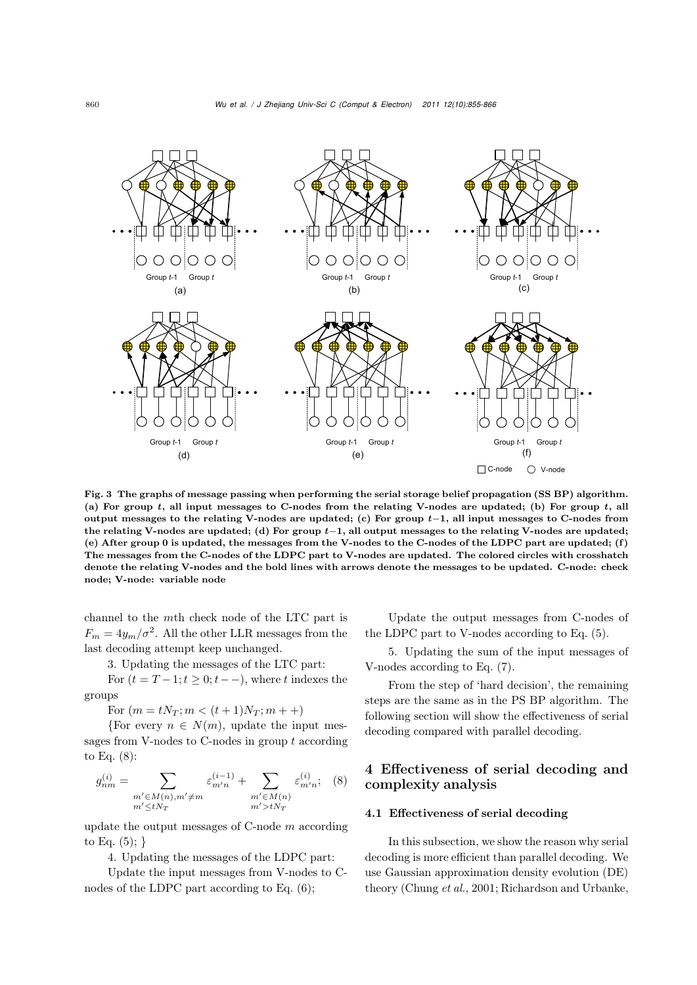

Fig. 3 The graphs of message passing when performing the serial storage belief propagation (SS BP) algorithm. (a) For group *t*, all input messages to C-nodes from the relating V-nodes are updated; (b) For group *t*, all output messages to the relating V-nodes are updated; (c) For group *t*−1, all input messages to C-nodes from the relating V-nodes are updated; (d) For group *t*−1, all output messages to the relating V-nodes are updated; (e) After group 0 is updated, the messages from the V-nodes to the C-nodes of the LDPC part are updated; (f ) The messages from the C-nodes of the LDPC part to V-nodes are updated. The colored circles with crosshatch denote the relating V-nodes and the bold lines with arrows denote the messages to be updated. C-node: check node; V-node: variable node

channel to the mth check node of the LTC part is  $F_m = 4y_m/\sigma^2$ . All the other LLR messages from the last decoding attempt keep unchanged.

3. Updating the messages of the LTC part:

For  $(t = T - 1; t \geq 0; t - -)$ , where t indexes the groups

For  $(m = tN_T; m < (t+1)N_T; m++)$ 

{For every  $n \in N(m)$ , update the input messages from V-nodes to C-nodes in group  $t$  according to Eq. (8):

$$
g_{nm}^{(i)} = \sum_{\substack{m' \in M(n), m' \neq m \\ m' \leq tN_T}} \varepsilon_{m'n}^{(i-1)} + \sum_{\substack{m' \in M(n) \\ m' > tN_T}} \varepsilon_{m'n}^{(i)}; \quad (8)
$$

update the output messages of C-node m according to Eq.  $(5)$ ; }

4. Updating the messages of the LDPC part:

Update the input messages from V-nodes to Cnodes of the LDPC part according to Eq. (6);

Update the output messages from C-nodes of the LDPC part to V-nodes according to Eq. (5).

5. Updating the sum of the input messages of V-nodes according to Eq. (7).

From the step of 'hard decision', the remaining steps are the same as in the PS BP algorithm. The following section will show the effectiveness of serial decoding compared with parallel decoding.

# 4 Effectiveness of serial decoding and complexity analysis

### 4.1 Effectiveness of serial decoding

In this subsection, we show the reason why serial decoding is more efficient than parallel decoding. We use Gaussian approximation density evolution (DE) theory (Chung *et al.*, 2001; Richardson and Urbanke,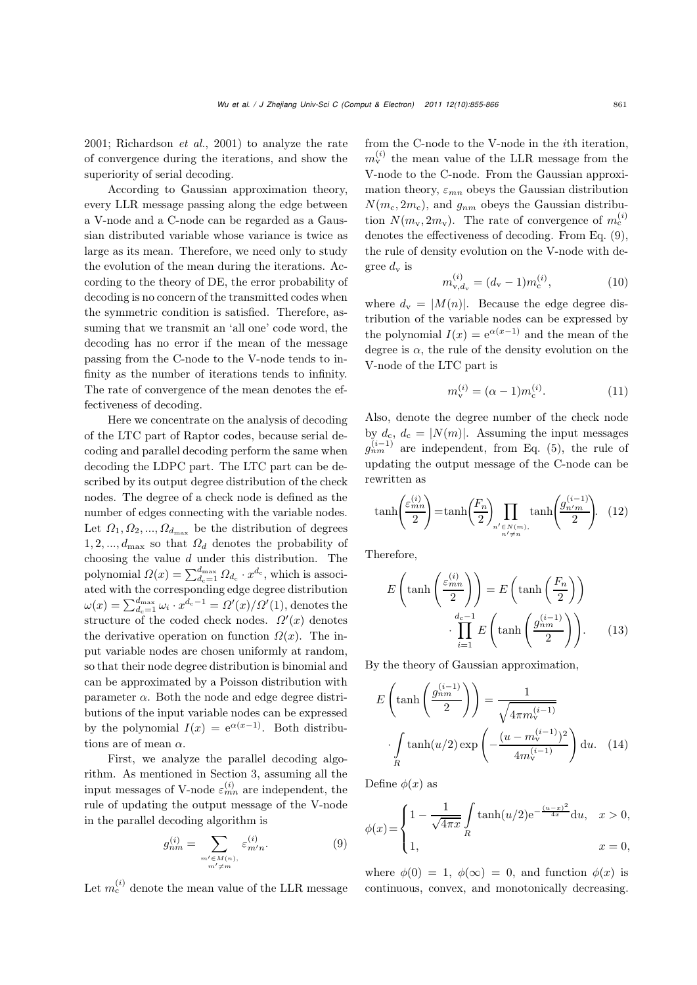2001; Richardson *et al.*, 2001) to analyze the rate of convergence during the iterations, and show the superiority of serial decoding.

According to Gaussian approximation theory, every LLR message passing along the edge between a V-node and a C-node can be regarded as a Gaussian distributed variable whose variance is twice as large as its mean. Therefore, we need only to study the evolution of the mean during the iterations. According to the theory of DE, the error probability of decoding is no concern of the transmitted codes when the symmetric condition is satisfied. Therefore, assuming that we transmit an 'all one' code word, the decoding has no error if the mean of the message passing from the C-node to the V-node tends to infinity as the number of iterations tends to infinity. The rate of convergence of the mean denotes the effectiveness of decoding.

Here we concentrate on the analysis of decoding of the LTC part of Raptor codes, because serial decoding and parallel decoding perform the same when decoding the LDPC part. The LTC part can be described by its output degree distribution of the check nodes. The degree of a check node is defined as the number of edges connecting with the variable nodes. Let  $\Omega_1, \Omega_2, ..., \Omega_{d_{\text{max}}}$  be the distribution of degrees  $1, 2, ..., d_{\text{max}}$  so that  $\Omega_d$  denotes the probability of choosing the value  $d$  under this distribution. The polynomial  $\Omega(x) = \sum_{d_c=1}^{d_{\text{max}}} \Omega_{d_c} \cdot x^{d_c}$ , which is associated with the corresponding edge degree distribution  $\omega(x) = \sum_{d_c=1}^{d_{\text{max}}}\omega_i \cdot x^{d_c-1} = \Omega'(x)/\Omega'(1)$ , denotes the structure of the coded check nodes.  $\Omega'(x)$  denotes the derivative operation on function  $\Omega(x)$ . The input variable nodes are chosen uniformly at random, so that their node degree distribution is binomial and can be approximated by a Poisson distribution with parameter  $\alpha$ . Both the node and edge degree distributions of the input variable nodes can be expressed by the polynomial  $I(x)=e^{\alpha(x-1)}$ . Both distributions are of mean  $\alpha$ .

First, we analyze the parallel decoding algorithm. As mentioned in Section 3, assuming all the input messages of V-node  $\varepsilon_{mn}^{(i)}$  are independent, the rule of updating the output message of the V-node in the parallel decoding algorithm is

$$
g_{nm}^{(i)} = \sum_{\substack{m' \in M(n), \\ m' \neq m}} \varepsilon_{m'n}^{(i)}.
$$
 (9)

Let  $m_c^{(i)}$  denote the mean value of the LLR message

from the C-node to the V-node in the ith iteration,  $m_{\mathbf{v}}^{(i)}$  the mean value of the LLR message from the V-node to the C-node. From the Gaussian approximation theory,  $\varepsilon_{mn}$  obeys the Gaussian distribution  $N(m_c, 2m_c)$ , and  $g_{nm}$  obeys the Gaussian distribution  $N(m_v, 2m_v)$ . The rate of convergence of  $m_c^{(i)}$ denotes the effectiveness of decoding. From Eq. (9), the rule of density evolution on the V-node with degree  $d_v$  is

$$
m_{v,d_v}^{(i)} = (d_v - 1)m_c^{(i)},\tag{10}
$$

where  $d_v = |M(n)|$ . Because the edge degree distribution of the variable nodes can be expressed by the polynomial  $I(x)=e^{\alpha(x-1)}$  and the mean of the degree is  $\alpha$ , the rule of the density evolution on the V-node of the LTC part is

$$
m_{\mathbf{v}}^{(i)} = (\alpha - 1)m_{\mathbf{c}}^{(i)}.
$$
 (11)

Also, denote the degree number of the check node by  $d_c$ ,  $d_c = |N(m)|$ . Assuming the input messages  $g_{nm}^{(i-1)}$  are independent, from Eq. (5), the rule of updating the output message of the C-node can be rewritten as

$$
\tanh\left(\frac{\varepsilon_{mn}^{(i)}}{2}\right) = \tanh\left(\frac{F_n}{2}\right) \prod_{\substack{n' \in N(m), \\ n' \neq n}} \tanh\left(\frac{g_{n'm}^{(i-1)}}{2}\right) \tag{12}
$$

Therefore,

$$
E\left(\tanh\left(\frac{\varepsilon_{mn}^{(i)}}{2}\right)\right) = E\left(\tanh\left(\frac{F_n}{2}\right)\right)
$$

$$
\cdot \prod_{i=1}^{d_c-1} E\left(\tanh\left(\frac{g_{nm}^{(i-1)}}{2}\right)\right).
$$
(13)

By the theory of Gaussian approximation,

$$
E\left(\tanh\left(\frac{g_{nm}^{(i-1)}}{2}\right)\right) = \frac{1}{\sqrt{4\pi m_{\mathbf{v}}^{(i-1)}}}
$$

$$
\int_{R} \tanh(u/2) \exp\left(-\frac{(u - m_{\mathbf{v}}^{(i-1)})^2}{4m_{\mathbf{v}}^{(i-1)}}\right) du. (14)
$$

Define  $\phi(x)$  as

$$
\phi(x) = \begin{cases} 1 - \frac{1}{\sqrt{4\pi x}} \int_{R} \tanh(u/2) e^{-\frac{(u-x)^2}{4x}} du, & x > 0, \\ 1, & x = 0, \end{cases}
$$

where  $\phi(0) = 1$ ,  $\phi(\infty) = 0$ , and function  $\phi(x)$  is continuous, convex, and monotonically decreasing.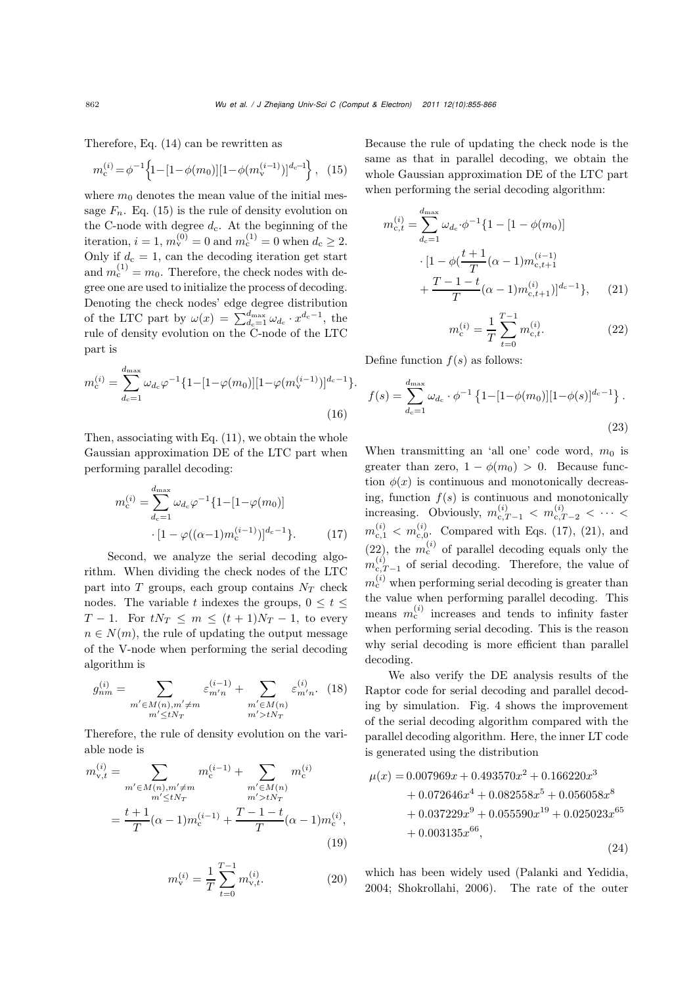$\eta$ 

Therefore, Eq. (14) can be rewritten as

$$
m_c^{(i)} = \phi^{-1} \left\{ 1 - [1 - \phi(m_0)][1 - \phi(m_v^{(i-1)})]^{d_c - 1} \right\}, \tag{15}
$$

where  $m_0$  denotes the mean value of the initial message  $F_n$ . Eq. (15) is the rule of density evolution on the C-node with degree  $d_c$ . At the beginning of the iteration,  $i = 1, m_v^{(0)} = 0$  and  $m_c^{(1)} = 0$  when  $d_c \ge 2$ . Only if  $d_c = 1$ , can the decoding iteration get start and  $m_c^{(1)} = m_0$ . Therefore, the check nodes with degree one are used to initialize the process of decoding. Denoting the check nodes' edge degree distribution of the LTC part by  $\omega(x) = \sum_{d_c=1}^{d_{\text{max}}} \omega_{d_c} \cdot x^{d_c-1}$ , the rule of density evolution on the C-node of the LTC part is

$$
m_c^{(i)} = \sum_{d_c=1}^{d_{\text{max}}} \omega_{d_c} \varphi^{-1} \{ 1 - [1 - \varphi(m_0)][1 - \varphi(m_v^{(i-1)})]^{d_c - 1} \}.
$$
\n(16)

Then, associating with Eq. (11), we obtain the whole Gaussian approximation DE of the LTC part when performing parallel decoding:

$$
m_c^{(i)} = \sum_{d_c=1}^{d_{\text{max}}} \omega_{d_c} \varphi^{-1} \{ 1 - [1 - \varphi(m_0)]
$$

$$
\cdot [1 - \varphi((\alpha - 1)m_c^{(i-1)})]^{d_c - 1} \}. \tag{17}
$$

Second, we analyze the serial decoding algorithm. When dividing the check nodes of the LTC part into T groups, each group contains  $N_T$  check nodes. The variable t indexes the groups,  $0 \le t \le$  $T-1$ . For  $tN_T \leq m \leq (t+1)N_T-1$ , to every  $n \in N(m)$ , the rule of updating the output message of the V-node when performing the serial decoding algorithm is

$$
g_{nm}^{(i)} = \sum_{\substack{m' \in M(n), m' \neq m \\ m' \leq tN_T}} \varepsilon_{m'n}^{(i-1)} + \sum_{\substack{m' \in M(n) \\ m' > tN_T}} \varepsilon_{m'n}^{(i)}.
$$
 (18)

Therefore, the rule of density evolution on the variable node is

$$
m_{v,t}^{(i)} = \sum_{\substack{m' \in M(n), m' \neq m \\ m' \leq tN_T}} m_c^{(i-1)} + \sum_{\substack{m' \in M(n) \\ m' > tN_T}} m_c^{(i)}
$$

$$
= \frac{t+1}{T} (\alpha - 1) m_c^{(i-1)} + \frac{T-1-t}{T} (\alpha - 1) m_c^{(i)}, \tag{19}
$$

$$
m_{\mathbf{v}}^{(i)} = \frac{1}{T} \sum_{t=0}^{T-1} m_{\mathbf{v},t}^{(i)}.
$$
 (20)

Because the rule of updating the check node is the same as that in parallel decoding, we obtain the whole Gaussian approximation DE of the LTC part when performing the serial decoding algorithm:

$$
h_{c,t}^{(i)} = \sum_{d_c=1}^{d_{\text{max}}} \omega_{d_c} \cdot \phi^{-1} \{ 1 - [1 - \phi(m_0)]
$$
  
 
$$
\cdot [1 - \phi(\frac{t+1}{T}(\alpha - 1)m_{c,t+1}^{(i-1)}) + \frac{T-1-t}{T}(\alpha - 1)m_{c,t+1}^{(i)})]^{d_c-1} \}, \quad (21)
$$

$$
m_{\rm c}^{(i)} = \frac{1}{T} \sum_{t=0}^{T-1} m_{\rm c,t}^{(i)}.
$$
 (22)

Define function  $f(s)$  as follows:

$$
f(s) = \sum_{d_c=1}^{d_{\text{max}}} \omega_{d_c} \cdot \phi^{-1} \left\{ 1 - [1 - \phi(m_0)][1 - \phi(s)]^{d_c - 1} \right\}.
$$
\n(23)

When transmitting an 'all one' code word,  $m_0$  is greater than zero,  $1 - \phi(m_0) > 0$ . Because function  $\phi(x)$  is continuous and monotonically decreasing, function  $f(s)$  is continuous and monotonically increasing. Obviously,  $m_{c,T-1}^{(i)} < m_{c,T-2}^{(i)} < \cdots$  $m_{c,1}^{(i)} < m_{c,0}^{(i)}$ . Compared with Eqs. (17), (21), and  $(22)$ , the  $m_c^{(i)}$  of parallel decoding equals only the  $m_{c,T-1}^{(i)}$  of serial decoding. Therefore, the value of  $m_{\rm c}^{(i)}$  when performing serial decoding is greater than the value when performing parallel decoding. This means  $m_c^{(i)}$  increases and tends to infinity faster when performing serial decoding. This is the reason why serial decoding is more efficient than parallel decoding.

We also verify the DE analysis results of the Raptor code for serial decoding and parallel decoding by simulation. Fig. 4 shows the improvement of the serial decoding algorithm compared with the parallel decoding algorithm. Here, the inner LT code is generated using the distribution

$$
\mu(x) = 0.007969x + 0.493570x^{2} + 0.166220x^{3}
$$
  
+ 0.072646x<sup>4</sup> + 0.082558x<sup>5</sup> + 0.056058x<sup>8</sup>  
+ 0.037229x<sup>9</sup> + 0.055590x<sup>19</sup> + 0.025023x<sup>65</sup>  
+ 0.003135x<sup>66</sup>, (24)

which has been widely used (Palanki and Yedidia, 2004; Shokrollahi, 2006). The rate of the outer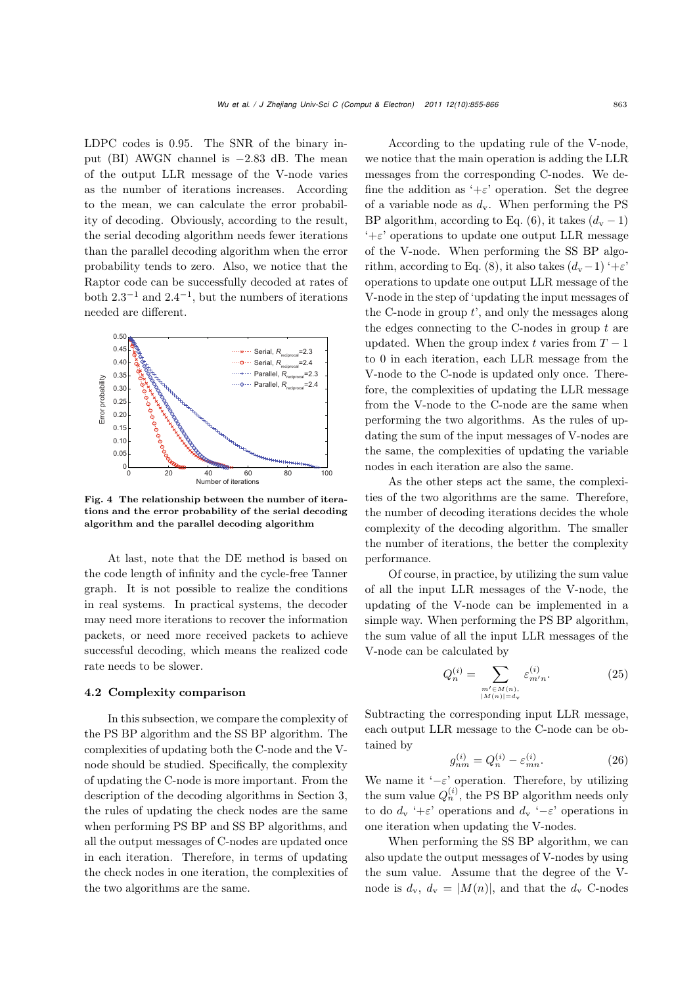LDPC codes is 0.95. The SNR of the binary input (BI) AWGN channel is −2.83 dB. The mean of the output LLR message of the V-node varies as the number of iterations increases. According to the mean, we can calculate the error probability of decoding. Obviously, according to the result, the serial decoding algorithm needs fewer iterations than the parallel decoding algorithm when the error probability tends to zero. Also, we notice that the Raptor code can be successfully decoded at rates of both  $2.3^{-1}$  and  $2.4^{-1}$ , but the numbers of iterations needed are different.



Fig. 4 The relationship between the number of iterations and the error probability of the serial decoding algorithm and the parallel decoding algorithm

At last, note that the DE method is based on the code length of infinity and the cycle-free Tanner graph. It is not possible to realize the conditions in real systems. In practical systems, the decoder may need more iterations to recover the information packets, or need more received packets to achieve successful decoding, which means the realized code rate needs to be slower.

### 4.2 Complexity comparison

In this subsection, we compare the complexity of the PS BP algorithm and the SS BP algorithm. The complexities of updating both the C-node and the Vnode should be studied. Specifically, the complexity of updating the C-node is more important. From the description of the decoding algorithms in Section 3, the rules of updating the check nodes are the same when performing PS BP and SS BP algorithms, and all the output messages of C-nodes are updated once in each iteration. Therefore, in terms of updating the check nodes in one iteration, the complexities of the two algorithms are the same.

According to the updating rule of the V-node, we notice that the main operation is adding the LLR messages from the corresponding C-nodes. We define the addition as ' $+\varepsilon$ ' operation. Set the degree of a variable node as  $d_v$ . When performing the PS BP algorithm, according to Eq. (6), it takes  $(d_v - 1)$  $'+\varepsilon'$  operations to update one output LLR message of the V-node. When performing the SS BP algorithm, according to Eq. (8), it also takes  $(d_v-1)$  '+ $\varepsilon$ ' operations to update one output LLR message of the V-node in the step of 'updating the input messages of the C-node in group  $t'$ , and only the messages along the edges connecting to the C-nodes in group  $t$  are updated. When the group index t varies from  $T-1$ to 0 in each iteration, each LLR message from the V-node to the C-node is updated only once. Therefore, the complexities of updating the LLR message from the V-node to the C-node are the same when performing the two algorithms. As the rules of updating the sum of the input messages of V-nodes are the same, the complexities of updating the variable nodes in each iteration are also the same.

As the other steps act the same, the complexities of the two algorithms are the same. Therefore, the number of decoding iterations decides the whole complexity of the decoding algorithm. The smaller the number of iterations, the better the complexity performance.

Of course, in practice, by utilizing the sum value of all the input LLR messages of the V-node, the updating of the V-node can be implemented in a simple way. When performing the PS BP algorithm, the sum value of all the input LLR messages of the V-node can be calculated by

$$
Q_n^{(i)} = \sum_{\substack{m' \in M(n), \\ |M(n)| = d_{\mathbf{v}}}} \varepsilon_{m'n}^{(i)}.
$$
 (25)

Subtracting the corresponding input LLR message, each output LLR message to the C-node can be obtained by

$$
g_{nm}^{(i)} = Q_n^{(i)} - \varepsilon_{mn}^{(i)}.\tag{26}
$$

We name it ' $-\varepsilon$ ' operation. Therefore, by utilizing the sum value  $Q_n^{(i)}$ , the PS BP algorithm needs only to do  $d_v$  '+ε' operations and  $d_v$  '−ε' operations in one iteration when updating the V-nodes.

When performing the SS BP algorithm, we can also update the output messages of V-nodes by using the sum value. Assume that the degree of the Vnode is  $d_v$ ,  $d_v = |M(n)|$ , and that the  $d_v$  C-nodes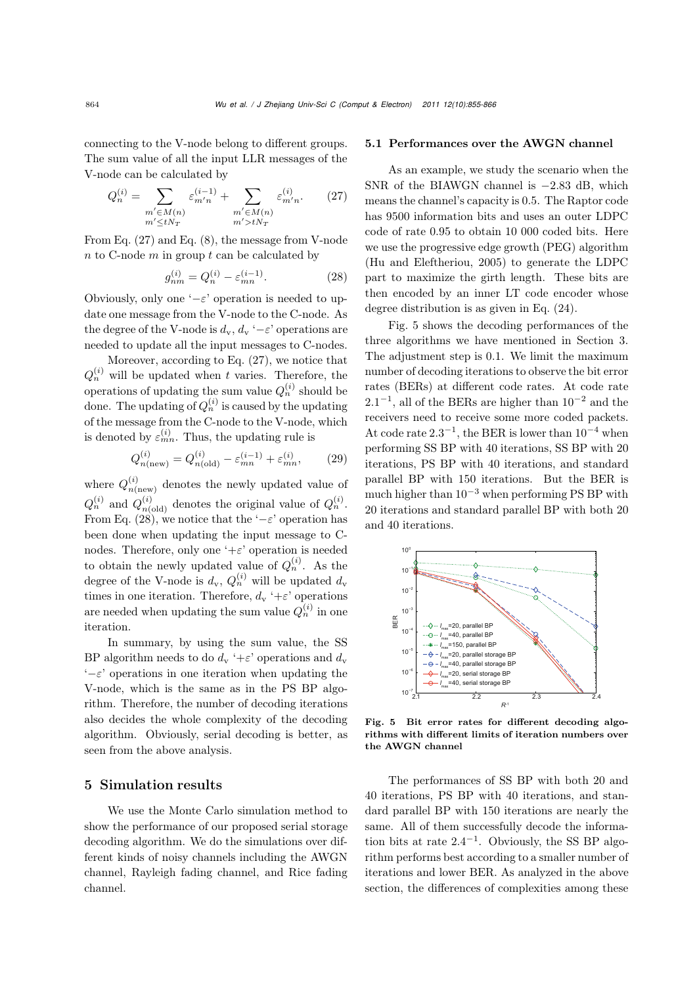connecting to the V-node belong to different groups. The sum value of all the input LLR messages of the V-node can be calculated by

$$
Q_n^{(i)} = \sum_{\substack{m' \in M(n) \\ m' \le tN_T}} \varepsilon_{m'n}^{(i-1)} + \sum_{\substack{m' \in M(n) \\ m' > tN_T}} \varepsilon_{m'n}^{(i)}.
$$
 (27)

From Eq. (27) and Eq. (8), the message from V-node n to C-node m in group  $t$  can be calculated by

$$
g_{nm}^{(i)} = Q_n^{(i)} - \varepsilon_{mn}^{(i-1)}.
$$
 (28)

Obviously, only one ' $-\varepsilon$ ' operation is needed to update one message from the V-node to the C-node. As the degree of the V-node is  $d_v$ ,  $d_v$  '−ε' operations are needed to update all the input messages to C-nodes.

Moreover, according to Eq. (27), we notice that  $Q_n^{(i)}$  will be updated when t varies. Therefore, the operations of updating the sum value  $Q_n^{(i)}$  should be done. The updating of  $Q_n^{(i)}$  is caused by the updating of the message from the C-node to the V-node, which is denoted by  $\varepsilon_{mn}^{(i)}$ . Thus, the updating rule is

$$
Q_{n(\text{new})}^{(i)} = Q_{n(\text{old})}^{(i)} - \varepsilon_{mn}^{(i-1)} + \varepsilon_{mn}^{(i)},\qquad(29)
$$

where  $Q_{n(\text{new})}^{(i)}$  denotes the newly updated value of  $Q_n^{(i)}$  and  $Q_{n(\text{old})}^{(i)}$  denotes the original value of  $Q_n^{(i)}$ . From Eq. (28), we notice that the ' $-\varepsilon$ ' operation has been done when updating the input message to Cnodes. Therefore, only one  $'+\varepsilon'$  operation is needed to obtain the newly updated value of  $Q_n^{(i)}$ . As the degree of the V-node is  $d_v$ ,  $Q_n^{(i)}$  will be updated  $d_v$ times in one iteration. Therefore,  $d_v$  '+ $\varepsilon$ ' operations are needed when updating the sum value  $Q_n^{(i)}$  in one iteration.

In summary, by using the sum value, the SS BP algorithm needs to do  $d_v$  '+ε' operations and  $d_v$ '−ε' operations in one iteration when updating the V-node, which is the same as in the PS BP algorithm. Therefore, the number of decoding iterations also decides the whole complexity of the decoding algorithm. Obviously, serial decoding is better, as seen from the above analysis.

### 5 Simulation results

We use the Monte Carlo simulation method to show the performance of our proposed serial storage decoding algorithm. We do the simulations over different kinds of noisy channels including the AWGN channel, Rayleigh fading channel, and Rice fading channel.

### 5.1 Performances over the AWGN channel

As an example, we study the scenario when the SNR of the BIAWGN channel is −2.83 dB, which means the channel's capacity is 0.5. The Raptor code has 9500 information bits and uses an outer LDPC code of rate 0.95 to obtain 10 000 coded bits. Here we use the progressive edge growth (PEG) algorithm (Hu and Eleftheriou, 2005) to generate the LDPC part to maximize the girth length. These bits are then encoded by an inner LT code encoder whose degree distribution is as given in Eq. (24).

Fig. 5 shows the decoding performances of the three algorithms we have mentioned in Section 3. The adjustment step is 0.1. We limit the maximum number of decoding iterations to observe the bit error rates (BERs) at different code rates. At code rate  $2.1^{-1}$ , all of the BERs are higher than  $10^{-2}$  and the receivers need to receive some more coded packets. At code rate  $2.3^{-1}$ , the BER is lower than  $10^{-4}$  when performing SS BP with 40 iterations, SS BP with 20 iterations, PS BP with 40 iterations, and standard parallel BP with 150 iterations. But the BER is much higher than  $10^{-3}$  when performing PS BP with 20 iterations and standard parallel BP with both 20 and 40 iterations.



Fig. 5 Bit error rates for different decoding algorithms with different limits of iteration numbers over the AWGN channel

The performances of SS BP with both 20 and 40 iterations, PS BP with 40 iterations, and standard parallel BP with 150 iterations are nearly the same. All of them successfully decode the information bits at rate  $2.4^{-1}$ . Obviously, the SS BP algorithm performs best according to a smaller number of iterations and lower BER. As analyzed in the above section, the differences of complexities among these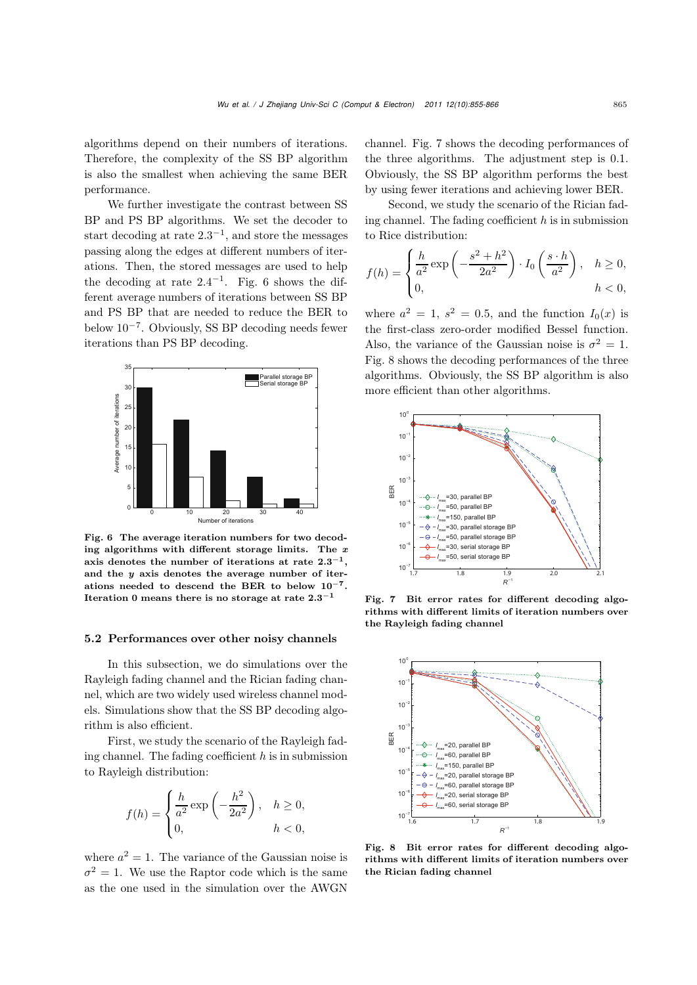algorithms depend on their numbers of iterations. Therefore, the complexity of the SS BP algorithm is also the smallest when achieving the same BER performance.

We further investigate the contrast between SS BP and PS BP algorithms. We set the decoder to start decoding at rate  $2.3^{-1}$ , and store the messages passing along the edges at different numbers of iterations. Then, the stored messages are used to help the decoding at rate  $2.4^{-1}$ . Fig. 6 shows the different average numbers of iterations between SS BP and PS BP that are needed to reduce the BER to below 10−<sup>7</sup>. Obviously, SS BP decoding needs fewer iterations than PS BP decoding.



Fig. 6 The average iteration numbers for two decoding algorithms with different storage limits. The *x* axis denotes the number of iterations at rate 2.3*−*1, and the *y* axis denotes the average number of iterations needed to descend the BER to below 10*−*7. Iteration 0 means there is no storage at rate 2.3*−*<sup>1</sup>

### 5.2 Performances over other noisy channels

In this subsection, we do simulations over the Rayleigh fading channel and the Rician fading channel, which are two widely used wireless channel models. Simulations show that the SS BP decoding algorithm is also efficient.

First, we study the scenario of the Rayleigh fading channel. The fading coefficient  $h$  is in submission to Rayleigh distribution:

$$
f(h) = \begin{cases} \frac{h}{a^2} \exp\left(-\frac{h^2}{2a^2}\right), & h \ge 0, \\ 0, & h < 0, \end{cases}
$$

where  $a^2 = 1$ . The variance of the Gaussian noise is  $\sigma^2 = 1$ . We use the Raptor code which is the same as the one used in the simulation over the AWGN channel. Fig. 7 shows the decoding performances of the three algorithms. The adjustment step is 0.1. Obviously, the SS BP algorithm performs the best by using fewer iterations and achieving lower BER.

Second, we study the scenario of the Rician fading channel. The fading coefficient  $h$  is in submission to Rice distribution:

$$
f(h) = \begin{cases} \frac{h}{a^2} \exp\left(-\frac{s^2 + h^2}{2a^2}\right) \cdot I_0\left(\frac{s \cdot h}{a^2}\right), & h \ge 0, \\ 0, & h < 0, \end{cases}
$$

where  $a^2 = 1$ ,  $s^2 = 0.5$ , and the function  $I_0(x)$  is the first-class zero-order modified Bessel function. Also, the variance of the Gaussian noise is  $\sigma^2 = 1$ . Fig. 8 shows the decoding performances of the three algorithms. Obviously, the SS BP algorithm is also more efficient than other algorithms.



Fig. 7 Bit error rates for different decoding algorithms with different limits of iteration numbers over the Rayleigh fading channel



Fig. 8 Bit error rates for different decoding algorithms with different limits of iteration numbers over the Rician fading channel